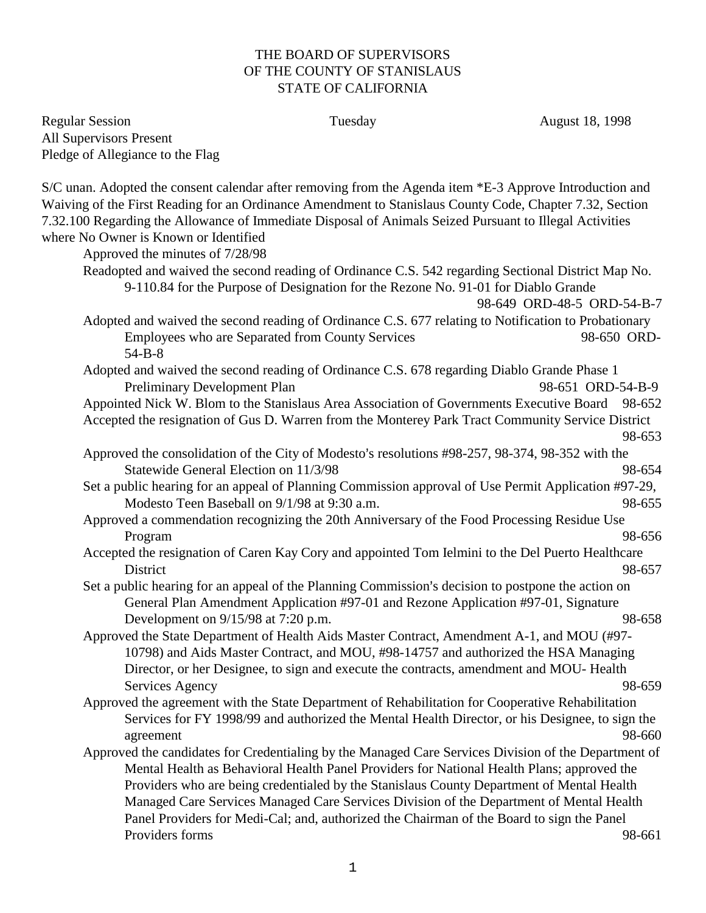## THE BOARD OF SUPERVISORS OF THE COUNTY OF STANISLAUS STATE OF CALIFORNIA

S/C unan. Adopted the consent calendar after removing from the Agenda item \*E-3 Approve Introduction and Waiving of the First Reading for an Ordinance Amendment to Stanislaus County Code, Chapter 7.32, Section 7.32.100 Regarding the Allowance of Immediate Disposal of Animals Seized Pursuant to Illegal Activities

Regular Session Tuesday August 18, 1998 All Supervisors Present Pledge of Allegiance to the Flag

1 where No Owner is Known or Identified Approved the minutes of 7/28/98 Readopted and waived the second reading of Ordinance C.S. 542 regarding Sectional District Map No. 9-110.84 for the Purpose of Designation for the Rezone No. 91-01 for Diablo Grande 98-649 ORD-48-5 ORD-54-B-7 Adopted and waived the second reading of Ordinance C.S. 677 relating to Notification to Probationary Employees who are Separated from County Services 98-650 ORD-54-B-8 Adopted and waived the second reading of Ordinance C.S. 678 regarding Diablo Grande Phase 1 Preliminary Development Plan 98-651 ORD-54-B-9 Appointed Nick W. Blom to the Stanislaus Area Association of Governments Executive Board 98-652 Accepted the resignation of Gus D. Warren from the Monterey Park Tract Community Service District 98-653 Approved the consolidation of the City of Modesto's resolutions #98-257, 98-374, 98-352 with the Statewide General Election on 11/3/98 98-654 Set a public hearing for an appeal of Planning Commission approval of Use Permit Application #97-29, Modesto Teen Baseball on  $9/1/98$  at 9:30 a.m. Approved a commendation recognizing the 20th Anniversary of the Food Processing Residue Use Program 98-656 Accepted the resignation of Caren Kay Cory and appointed Tom Ielmini to the Del Puerto Healthcare District 98-657 Set a public hearing for an appeal of the Planning Commission's decision to postpone the action on General Plan Amendment Application #97-01 and Rezone Application #97-01, Signature Development on  $9/15/98$  at 7:20 p.m. 98-658 Approved the State Department of Health Aids Master Contract, Amendment A-1, and MOU (#97- 10798) and Aids Master Contract, and MOU, #98-14757 and authorized the HSA Managing Director, or her Designee, to sign and execute the contracts, amendment and MOU- Health Services Agency 98-659 Approved the agreement with the State Department of Rehabilitation for Cooperative Rehabilitation Services for FY 1998/99 and authorized the Mental Health Director, or his Designee, to sign the agreement 98-660 Approved the candidates for Credentialing by the Managed Care Services Division of the Department of Mental Health as Behavioral Health Panel Providers for National Health Plans; approved the Providers who are being credentialed by the Stanislaus County Department of Mental Health Managed Care Services Managed Care Services Division of the Department of Mental Health Panel Providers for Medi-Cal; and, authorized the Chairman of the Board to sign the Panel Providers forms 98-661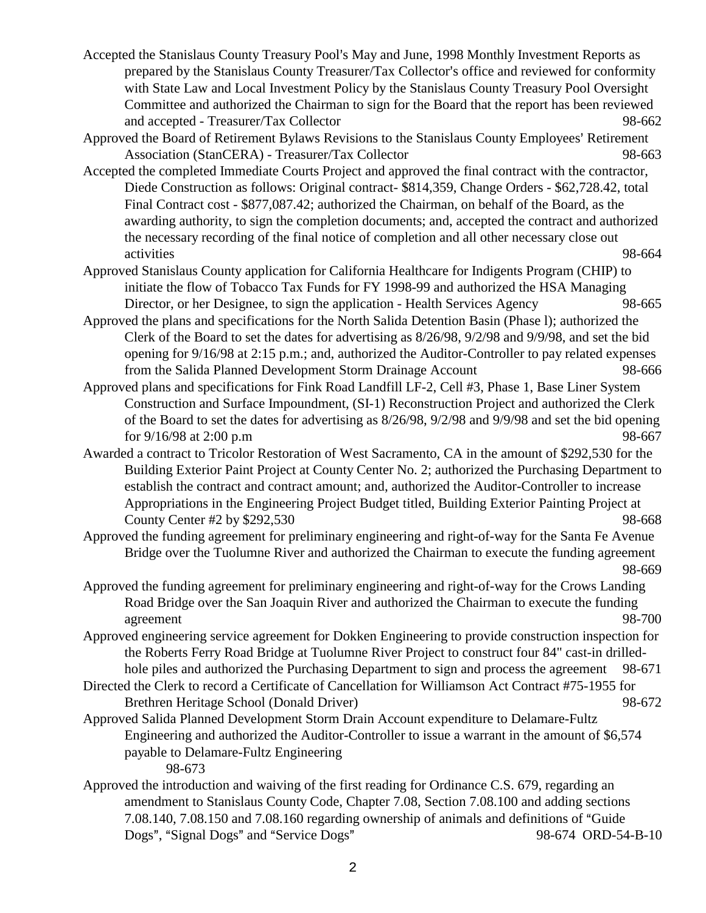- Accepted the Stanislaus County Treasury Pool's May and June, 1998 Monthly Investment Reports as prepared by the Stanislaus County Treasurer/Tax Collector's office and reviewed for conformity with State Law and Local Investment Policy by the Stanislaus County Treasury Pool Oversight Committee and authorized the Chairman to sign for the Board that the report has been reviewed and accepted - Treasurer/Tax Collector 98-662
- Approved the Board of Retirement Bylaws Revisions to the Stanislaus County Employees' Retirement Association (StanCERA) - Treasurer/Tax Collector 98-663
- Accepted the completed Immediate Courts Project and approved the final contract with the contractor, Diede Construction as follows: Original contract- \$814,359, Change Orders - \$62,728.42, total Final Contract cost - \$877,087.42; authorized the Chairman, on behalf of the Board, as the awarding authority, to sign the completion documents; and, accepted the contract and authorized the necessary recording of the final notice of completion and all other necessary close out activities 98-664
- Approved Stanislaus County application for California Healthcare for Indigents Program (CHIP) to initiate the flow of Tobacco Tax Funds for FY 1998-99 and authorized the HSA Managing Director, or her Designee, to sign the application - Health Services Agency 98-665
- Approved the plans and specifications for the North Salida Detention Basin (Phase l); authorized the Clerk of the Board to set the dates for advertising as 8/26/98, 9/2/98 and 9/9/98, and set the bid opening for 9/16/98 at 2:15 p.m.; and, authorized the Auditor-Controller to pay related expenses from the Salida Planned Development Storm Drainage Account 98-666
- Approved plans and specifications for Fink Road Landfill LF-2, Cell #3, Phase 1, Base Liner System Construction and Surface Impoundment, (SI-1) Reconstruction Project and authorized the Clerk of the Board to set the dates for advertising as 8/26/98, 9/2/98 and 9/9/98 and set the bid opening for 9/16/98 at 2:00 p.m 98-667
- Awarded a contract to Tricolor Restoration of West Sacramento, CA in the amount of \$292,530 for the Building Exterior Paint Project at County Center No. 2; authorized the Purchasing Department to establish the contract and contract amount; and, authorized the Auditor-Controller to increase Appropriations in the Engineering Project Budget titled, Building Exterior Painting Project at County Center #2 by \$292,530 98-668
- Approved the funding agreement for preliminary engineering and right-of-way for the Santa Fe Avenue Bridge over the Tuolumne River and authorized the Chairman to execute the funding agreement 98-669
- Approved the funding agreement for preliminary engineering and right-of-way for the Crows Landing Road Bridge over the San Joaquin River and authorized the Chairman to execute the funding agreement 98-700
- Approved engineering service agreement for Dokken Engineering to provide construction inspection for the Roberts Ferry Road Bridge at Tuolumne River Project to construct four 84" cast-in drilledhole piles and authorized the Purchasing Department to sign and process the agreement 98-671
- Directed the Clerk to record a Certificate of Cancellation for Williamson Act Contract #75-1955 for Brethren Heritage School (Donald Driver) 98-672
- Approved Salida Planned Development Storm Drain Account expenditure to Delamare-Fultz Engineering and authorized the Auditor-Controller to issue a warrant in the amount of \$6,574 payable to Delamare-Fultz Engineering 98-673
- Approved the introduction and waiving of the first reading for Ordinance C.S. 679, regarding an amendment to Stanislaus County Code, Chapter 7.08, Section 7.08.100 and adding sections 7.08.140, 7.08.150 and 7.08.160 regarding ownership of animals and definitions of ^Guide Dogs", "Signal Dogs" and "Service Dogs" 98-674 ORD-54-B-10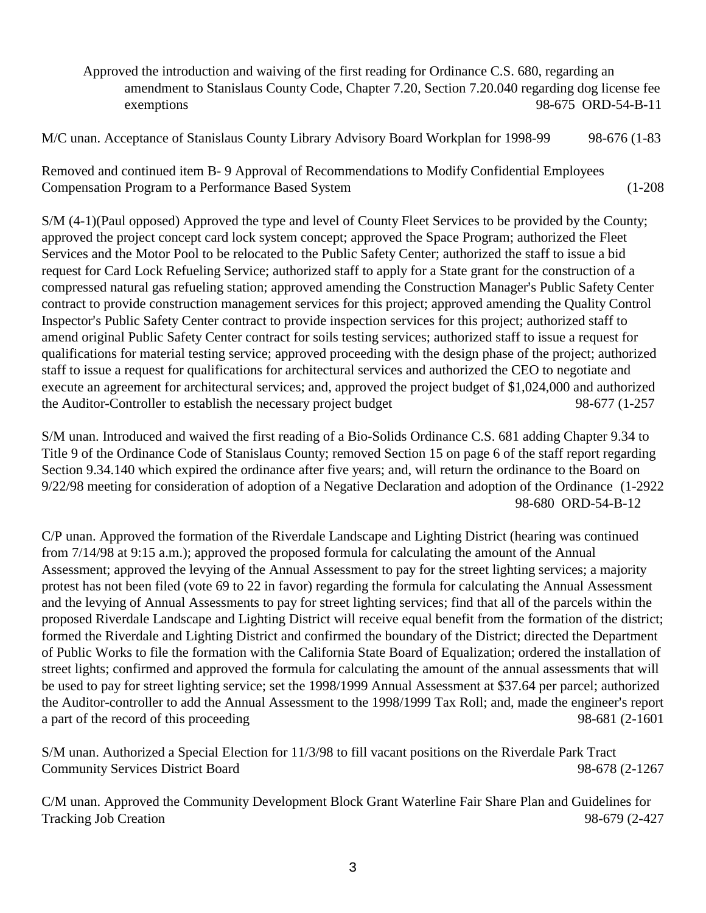Approved the introduction and waiving of the first reading for Ordinance C.S. 680, regarding an amendment to Stanislaus County Code, Chapter 7.20, Section 7.20.040 regarding dog license fee exemptions 98-675 ORD-54-B-11

M/C unan. Acceptance of Stanislaus County Library Advisory Board Workplan for 1998-99 98-676 (1-83

Removed and continued item B- 9 Approval of Recommendations to Modify Confidential Employees Compensation Program to a Performance Based System (1-208

S/M (4-1)(Paul opposed) Approved the type and level of County Fleet Services to be provided by the County; approved the project concept card lock system concept; approved the Space Program; authorized the Fleet Services and the Motor Pool to be relocated to the Public Safety Center; authorized the staff to issue a bid request for Card Lock Refueling Service; authorized staff to apply for a State grant for the construction of a compressed natural gas refueling station; approved amending the Construction Manager's Public Safety Center contract to provide construction management services for this project; approved amending the Quality Control Inspector's Public Safety Center contract to provide inspection services for this project; authorized staff to amend original Public Safety Center contract for soils testing services; authorized staff to issue a request for qualifications for material testing service; approved proceeding with the design phase of the project; authorized staff to issue a request for qualifications for architectural services and authorized the CEO to negotiate and execute an agreement for architectural services; and, approved the project budget of \$1,024,000 and authorized the Auditor-Controller to establish the necessary project budget 98-677 (1-257

S/M unan. Introduced and waived the first reading of a Bio-Solids Ordinance C.S. 681 adding Chapter 9.34 to Title 9 of the Ordinance Code of Stanislaus County; removed Section 15 on page 6 of the staff report regarding Section 9.34.140 which expired the ordinance after five years; and, will return the ordinance to the Board on 9/22/98 meeting for consideration of adoption of a Negative Declaration and adoption of the Ordinance (1-2922 98-680 ORD-54-B-12

C/P unan. Approved the formation of the Riverdale Landscape and Lighting District (hearing was continued from 7/14/98 at 9:15 a.m.); approved the proposed formula for calculating the amount of the Annual Assessment; approved the levying of the Annual Assessment to pay for the street lighting services; a majority protest has not been filed (vote 69 to 22 in favor) regarding the formula for calculating the Annual Assessment and the levying of Annual Assessments to pay for street lighting services; find that all of the parcels within the proposed Riverdale Landscape and Lighting District will receive equal benefit from the formation of the district; formed the Riverdale and Lighting District and confirmed the boundary of the District; directed the Department of Public Works to file the formation with the California State Board of Equalization; ordered the installation of street lights; confirmed and approved the formula for calculating the amount of the annual assessments that will be used to pay for street lighting service; set the 1998/1999 Annual Assessment at \$37.64 per parcel; authorized the Auditor-controller to add the Annual Assessment to the 1998/1999 Tax Roll; and, made the engineer's report a part of the record of this proceeding 98-681 (2-1601

S/M unan. Authorized a Special Election for 11/3/98 to fill vacant positions on the Riverdale Park Tract Community Services District Board 98-678 (2-1267

C/M unan. Approved the Community Development Block Grant Waterline Fair Share Plan and Guidelines for Tracking Job Creation 98-679 (2-427